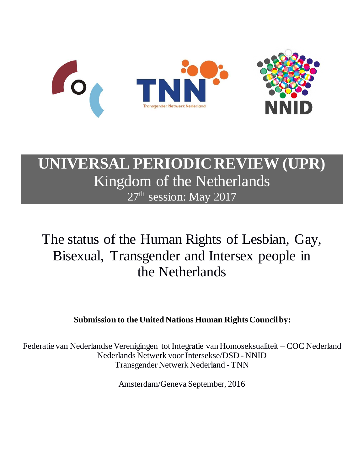

# **UNIVERSAL PERIODIC REVIEW (UPR)** Kingdom of the Netherlands 27<sup>th</sup> session: May 2017

# The status of the Human Rights of Lesbian, Gay, Bisexual, Transgender and Intersex people in the Netherlands

# **Submission to the United Nations Human Rights Council by:**

Federatie van Nederlandse Verenigingen tot Integratie van Homoseksualiteit – COC Nederland Nederlands Netwerk voor Intersekse/DSD - NNID Transgender Netwerk Nederland - TNN

Amsterdam/Geneva September, 2016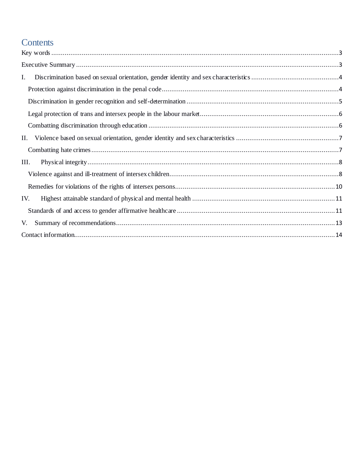# Contents

| I.   |
|------|
|      |
|      |
|      |
|      |
| П.   |
|      |
| III. |
|      |
|      |
| IV.  |
|      |
| V.   |
|      |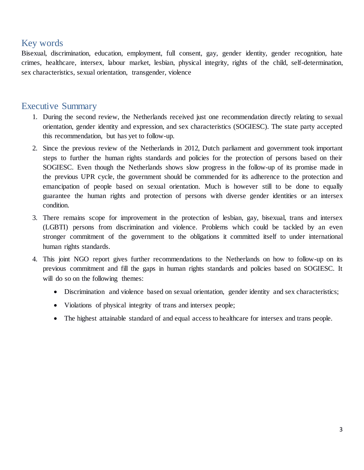## Key words

Bisexual, discrimination, education, employment, full consent, gay, gender identity, gender recognition, hate crimes, healthcare, intersex, labour market, lesbian, physical integrity, rights of the child, self-determination, sex characteristics, sexual orientation, transgender, violence

## Executive Summary

- 1. During the second review, the Netherlands received just one recommendation directly relating to sexual orientation, gender identity and expression, and sex characteristics (SOGIESC). The state party accepted this recommendation, but has yet to follow-up.
- 2. Since the previous review of the Netherlands in 2012, Dutch parliament and government took important steps to further the human rights standards and policies for the protection of persons based on their SOGIESC. Even though the Netherlands shows slow progress in the follow-up of its promise made in the previous UPR cycle, the government should be commended for its adherence to the protection and emancipation of people based on sexual orientation. Much is however still to be done to equally guarantee the human rights and protection of persons with diverse gender identities or an intersex condition.
- 3. There remains scope for improvement in the protection of lesbian, gay, bisexual, trans and intersex (LGBTI) persons from discrimination and violence. Problems which could be tackled by an even stronger commitment of the government to the obligations it committed itself to under international human rights standards.
- 4. This joint NGO report gives further recommendations to the Netherlands on how to follow-up on its previous commitment and fill the gaps in human rights standards and policies based on SOGIESC. It will do so on the following themes:
	- Discrimination and violence based on sexual orientation, gender identity and sex characteristics;
	- Violations of physical integrity of trans and intersex people;
	- The highest attainable standard of and equal access to healthcare for intersex and trans people.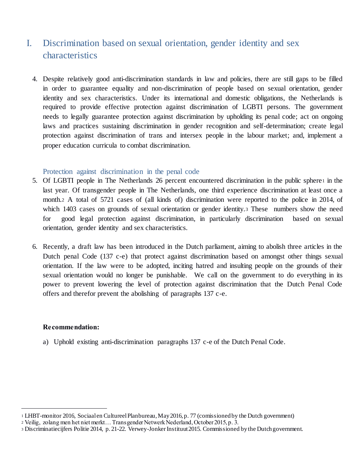# I. Discrimination based on sexual orientation, gender identity and sex characteristics

4. Despite relatively good anti-discrimination standards in law and policies, there are still gaps to be filled in order to guarantee equality and non-discrimination of people based on sexual orientation, gender identity and sex characteristics. Under its international and domestic obligations, the Netherlands is required to provide effective protection against discrimination of LGBTI persons. The government needs to legally guarantee protection against discrimination by upholding its penal code; act on ongoing laws and practices sustaining discrimination in gender recognition and self-determination; create legal protection against discrimination of trans and intersex people in the labour market; and, implement a proper education curricula to combat discrimination.

## Protection against discrimination in the penal code

- 5. Of LGBTI people in The Netherlands 26 percent encountered discrimination in the public sphere<sup>1</sup> in the last year. Of transgender people in The Netherlands, one third experience discrimination at least once a month.<sup>2</sup> A total of 5721 cases of (all kinds of) discrimination were reported to the police in 2014, of which 1403 cases on grounds of sexual orientation or gender identity.<sup>3</sup> These numbers show the need for good legal protection against discrimination, in particularly discrimination based on sexual orientation, gender identity and sex characteristics.
- 6. Recently, a draft law has been introduced in the Dutch parliament, aiming to abolish three articles in the Dutch penal Code (137 c-e) that protect against discrimination based on amongst other things sexual orientation. If the law were to be adopted, inciting hatred and insulting people on the grounds of their sexual orientation would no longer be punishable. We call on the government to do everything in its power to prevent lowering the level of protection against discrimination that the Dutch Penal Code offers and therefor prevent the abolishing of paragraphs 137 c-e.

## **Recommendation:**

 $\overline{a}$ 

a) Uphold existing anti-discrimination paragraphs 137 c-e of the Dutch Penal Code.

<sup>1</sup> LHBT-monitor 2016, Sociaal en Cultureel Planbureau, May 2016, p. 77 (comissioned by the Dutch government)

<sup>2</sup> Veilig, zolang men het niet merkt… Transgender Netwerk Nederland, October 2015, p. 3.

<sup>3</sup> Discriminatiecijfers Politie 2014, p. 21-22. Verwey-Jonker Instituut 2015. Commissioned by the Dutch government.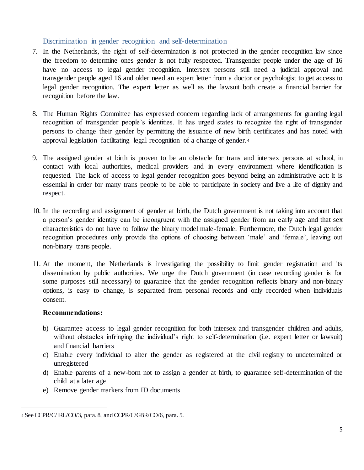## Discrimination in gender recognition and self-determination

- 7. In the Netherlands, the right of self-determination is not protected in the gender recognition law since the freedom to determine ones gender is not fully respected. Transgender people under the age of 16 have no access to legal gender recognition. Intersex persons still need a judicial approval and transgender people aged 16 and older need an expert letter from a doctor or psychologist to get access to legal gender recognition. The expert letter as well as the lawsuit both create a financial barrier for recognition before the law.
- 8. The Human Rights Committee has expressed concern regarding lack of arrangements for granting legal recognition of transgender people's identities. It has urged states to recognize the right of transgender persons to change their gender by permitting the issuance of new birth certificates and has noted with approval legislation facilitating legal recognition of a change of gender.<sup>4</sup>
- 9. The assigned gender at birth is proven to be an obstacle for trans and intersex persons at school, in contact with local authorities, medical providers and in every environment where identification is requested. The lack of access to legal gender recognition goes beyond being an administrative act: it is essential in order for many trans people to be able to participate in society and live a life of dignity and respect.
- 10. In the recording and assignment of gender at birth, the Dutch government is not taking into account that a person's gender identity can be incongruent with the assigned gender from an early age and that sex characteristics do not have to follow the binary model male-female. Furthermore, the Dutch legal gender recognition procedures only provide the options of choosing between 'male' and 'female', leaving out non-binary trans people.
- 11. At the moment, the Netherlands is investigating the possibility to limit gender registration and its dissemination by public authorities. We urge the Dutch government (in case recording gender is for some purposes still necessary) to guarantee that the gender recognition reflects binary and non-binary options, is easy to change, is separated from personal records and only recorded when individuals consent.

## **Recommendations:**

- b) Guarantee access to legal gender recognition for both intersex and transgender children and adults, without obstacles infringing the individual's right to self-determination (i.e. expert letter or lawsuit) and financial barriers
- c) Enable every individual to alter the gender as registered at the civil registry to undetermined or unregistered
- d) Enable parents of a new-born not to assign a gender at birth, to guarantee self-determination of the child at a later age
- e) Remove gender markers from ID documents

 $\overline{a}$ <sup>4</sup> See CCPR/C/IRL/CO/3, para. 8, and CCPR/C/GBR/CO/6, para. 5.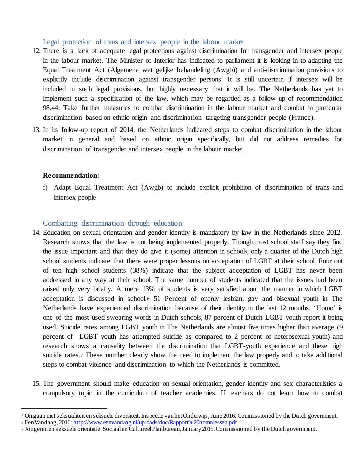Legal protection of trans and intersex people in the labour market

- 12. There is a lack of adequate legal protections against discrimination for transgender and intersex people in the labour market. The Minister of Interior has indicated to parliament it is looking in to adapting the Equal Treatment Act (Algemene wet gelijke behandeling (Awgb)) and anti-discrimination provisions to explicitly include discrimination against transgender persons. It is still uncertain if intersex will be included in such legal provisions, but highly necessary that it will be. The Netherlands has yet to implement such a specification of the law, which may be regarded as a follow-up of recommendation 98.44: Take further measures to combat discrimination in the labour market and combat in particular discrimination based on ethnic origin and discrimination targeting transgender people (France).
- 13. In its follow-up report of 2014, the Netherlands indicated steps to combat discrimination in the labour market in general and based on ethnic origin specifically, but did not address remedies for discrimination of transgender and intersex people in the labour market.

## **Recommendation:**

 $\overline{a}$ 

f) Adapt Equal Treatment Act (Awgb) to include explicit prohibition of discrimination of trans and intersex people

## Combatting discrimination through education

- 14. Education on sexual orientation and gender identity is mandatory by law in the Netherlands since 2012. Research shows that the law is not being implemented properly. Though most school staff say they find the issue important and that they do give it (some) attention in school5, only a quarter of the Dutch high school students indicate that there were proper lessons on acceptation of LGBT at their school. Four out of ten high school students (38%) indicate that the subject acceptation of LGBT has never been addressed in any way at their school. The same number of students indicated that the issues had been raised only very briefly. A mere 13% of students is very satisfied about the manner in which LGBT acceptation is discussed in school.<sup>6</sup> 51 Percent of openly lesbian, gay and bisexual youth in The Netherlands have experienced discrimination because of their identity in the last 12 months. 'Homo' is one of the most used swearing words in Dutch schools, 87 percent of Dutch LGBT youth report it being used. Suicide rates among LGBT youth in The Netherlands are almost five times higher than average (9 percent of LGBT youth has attempted suicide as compared to 2 percent of heterosexual youth) and research shows a causality between the discrimination that LGBT-youth experience and these high suicide rates.<sup>7</sup> These number clearly show the need to implement the law properly and to take additional steps to combat violence and discrimination to which the Netherlands is committed.
- 15. The government should make education on sexual orientation, gender identity and sex characteristics a compulsory topic in the curriculum of teacher academies. If teachers do not learn how to combat

<sup>5</sup> Omgaan met seksualiteit en seksuele diversiteit. Inspectie van het Onderwijs, June 2016. Commissioned by the Dutch government. <sup>6</sup> EenVandaag, 2016: http://www.eenvandaag.nl/uploads/doc/Rapport%20homolessen.pdf

<sup>7</sup> Jongeren en seksuele orientatie. Sociaal en Cultureel Planbureau, January 2015. Commissioned by the Dutch government.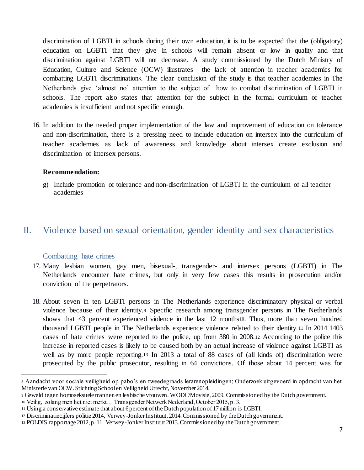discrimination of LGBTI in schools during their own education, it is to be expected that the (obligatory) education on LGBTI that they give in schools will remain absent or low in quality and that discrimination against LGBTI will not decrease. A study commissioned by the Dutch Ministry of Education, Culture and Science (OCW) illustrates the lack of attention in teacher academies for combatting LGBTI discrimination8. The clear conclusion of the study is that teacher academies in The Netherlands give 'almost no' attention to the subject of how to combat discrimination of LGBTI in schools. The report also states that attention for the subject in the formal curriculum of teacher academies is insufficient and not specific enough.

16. In addition to the needed proper implementation of the law and improvement of education on tolerance and non-discrimination, there is a pressing need to include education on intersex into the curriculum of teacher academies as lack of awareness and knowledge about intersex create exclusion and discrimination of intersex persons.

#### **Recommendation:**

g) Include promotion of tolerance and non-discrimination of LGBTI in the curriculum of all teacher academies

## II. Violence based on sexual orientation, gender identity and sex characteristics

## Combatting hate crimes

 $\overline{a}$ 

- 17. Many lesbian women, gay men, bisexual-, transgender- and intersex persons (LGBTI) in The Netherlands encounter hate crimes, but only in very few cases this results in prosecution and/or conviction of the perpetrators.
- 18. About seven in ten LGBTI persons in The Netherlands experience discriminatory physical or verbal violence because of their identity.<sup>9</sup> Specific research among transgender persons in The Netherlands shows that 43 percent experienced violence in the last 12 months10. Thus, more than seven hundred thousand LGBTI people in The Netherlands experience violence related to their identity.<sup>11</sup> In 2014 1403 cases of hate crimes were reported to the police, up from 380 in 2008.<sup>12</sup> According to the police this increase in reported cases is likely to be caused both by an actual increase of violence against LGBTI as well as by more people reporting.<sup>13</sup> In 2013 a total of 88 cases of (all kinds of) discrimination were prosecuted by the public prosecutor, resulting in 64 convictions. Of those about 14 percent was for

<sup>8</sup> Aandacht voor sociale veiligheid op pabo's en tweedegraads lerarenopleidingen; Onderzoek uitgevoerd in opdracht van het Ministerie van OCW. Stichting School en Veiligheid Utrecht, November 2014.

<sup>9</sup> Geweld tegen homoseksuele mannen en lesbische vrouwen. WODC/Movisie, 2009. Commissioned by the Dutch government.

<sup>10</sup> Veilig, zolang men het niet merkt… Transgender Netwerk Nederland, October 2015, p. 3.

<sup>11</sup> Using a conservative estimate that about 6 percent of the Dutch population of 17 million is LGBTI.

<sup>12</sup> Discriminatiecijfers politie 2014, Verwey-Jonker Instituut, 2014. Commissioned by the Dutch government.

<sup>13</sup> POLDIS rapportage 2012, p. 11. Verwey-Jonker Instituut 2013. Commissioned by the Dutch government.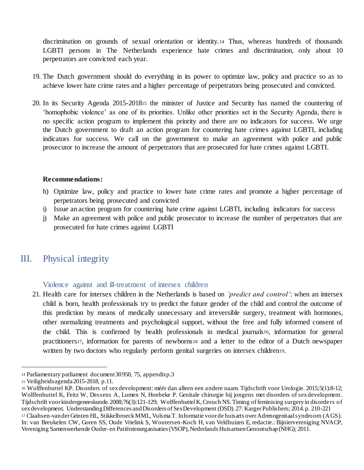discrimination on grounds of sexual orientation or identity.<sup>14</sup> Thus, whereas hundreds of thousands LGBTI persons in The Netherlands experience hate crimes and discrimination, only about 10 perpetrators are convicted each year.

- 19. The Dutch government should do everything in its power to optimize law, policy and practice so as to achieve lower hate crime rates and a higher percentage of perpetrators being prosecuted and convicted.
- 20. In its Security Agenda 2015-2018<sup>15</sup> the minister of Justice and Security has named the countering of 'homophobic violence' as one of its priorities. Unlike other priorities set in the Security Agenda, there is no specific action program to implement this priority and there are no indicators for success. We urge the Dutch government to draft an action program for countering hate crimes against LGBTI, including indicators for success. We call on the government to make an agreement with police and public prosecutor to increase the amount of perpetrators that are prosecuted for hate crimes against LGBTI.

## **Recommendations:**

- h) Optimize law, policy and practice to lower hate crime rates and promote a higher percentage of perpetrators being prosecuted and convicted
- i) Issue an action program for countering hate crime against LGBTI, including indicators for success
- j) Make an agreement with police and public prosecutor to increase the number of perpetrators that are prosecuted for hate crimes against LGBTI

## III. Physical integrity

Violence against and ill-treatment of intersex children

21. Health care for intersex children in the Netherlands is based on *'predict and control'*: when an intersex child is born, health professionals try to predict the future gender of the child and control the outcome of this prediction by means of medically unnecessary and irreversible surgery, treatment with hormones, other normalizing treatments and psychological support, without the free and fully informed consent of the child. This is confirmed by health professionals in medical journals16, information for general practitioners17, information for parents of newborns<sup>18</sup> and a letter to the editor of a Dutch newspaper written by two doctors who regularly perform genital surgeries on intersex children<sup>19</sup>.

 $\overline{a}$ 

<sup>14</sup> Parliamentary parliament document 30 950, 75, appendix p.3

<sup>15</sup> Veiligheidsagenda 2015-2018, p.11.

<sup>16</sup> Wolffenbuttel KP. Disorders of sex development: méér dan alleen een andere naam. Tijdschrift voor Urologie. 2015;5(1):8-12; Wolffenbuttel K, Feitz W, Dessens A, Lumen N, Hoebeke P. Genitale chirurgie bij jongens met disorders of sex development. Tijdschrift voor kindergeneeskunde. 2008;76(3):121-129; Wolffenbuttel K, Crouch NS. Timing of feminising surgery in disorders of sex development. Understanding Differences and Disorders of Sex Development (DSD). 27: Karger Publishers; 2014. p. 210-221 <sup>17</sup> Claahsen-van der Grinten HL, Stikkelbroeck MML, Vulsma T. Informatie voor de huisarts over Adrenogenitaal syndroom (AGS). In: van Breukelen CW, Goren SS, Oude Vrielink S, Woutersen-Koch H, van Veldhuizen E, redactie.: Bijniervereniging NVACP, Vereniging Samenwerkende Ouder- en Patiëntenorganisaties (VSOP), Nederlands Huisartsen Genootschap (NHG); 2011.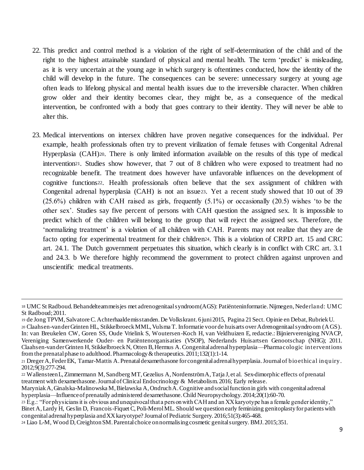- 22. This predict and control method is a violation of the right of self-determination of the child and of the right to the highest attainable standard of physical and mental health. The term 'predict' is misleading, as it is very uncertain at the young age in which surgery is oftentimes conducted, how the identity of the child will develop in the future. The consequences can be severe: unnecessary surgery at young age often leads to lifelong physical and mental health issues due to the irreversible character. When children grow older and their identity becomes clear, they might be, as a consequence of the medical intervention, be confronted with a body that goes contrary to their identity. They will never be able to alter this.
- 23. Medical interventions on intersex children have proven negative consequences for the individual. Per example, health professionals often try to prevent virilization of female fetuses with Congenital Adrenal Hyperplasia (CAH)20. There is only limited information available on the results of this type of medical intervention21. Studies show however, that 7 out of 8 children who were exposed to treatment had no recognizable benefit. The treatment does however have unfavorable influences on the development of cognitive functions22. Health professionals often believe that the sex assignment of children with Congenital adrenal hyperplasia (CAH) is not an issue23. Yet a recent study showed that 10 out of 39 (25.6%) children with CAH raised as girls, frequently (5.1%) or occasionally (20.5) wishes 'to be the other sex'. Studies say five percent of persons with CAH question the assigned sex. It is impossible to predict which of the children will belong to the group that will reject the assigned sex. Therefore, the 'normalizing treatment' is a violation of all children with CAH. Parents may not realize that they are de facto opting for experimental treatment for their children24. This is a violation of CRPD art. 15 and CRC art. 24.1. The Dutch government perpetuates this situation, which clearly is in conflict with CRC art. 3.1 and 24.3. b We therefore highly recommend the government to protect children against unproven and unscientific medical treatments.

 $\overline{a}$ 

<sup>18</sup> UMC St Radboud. Behandelteam meisjes met adrenogenitaal syndroom (AGS): Patiënteninformatie. Nijmegen, Nederland: UMC St Radboud; 2011.

<sup>19</sup> de Jong TPVM, Salvatore C. Achterhaalde misstanden. De Volkskrant. 6 juni 2015, Pagina 21 Sect. Opinie en Debat, Rubriek U.

<sup>20</sup> Claahsen-van der Grinten HL, Stikkelbroeck MML, Vulsma T. Informatie voor de huisarts over Adrenogenitaal syndroom (AGS). In: van Breukelen CW, Goren SS, Oude Vrielink S, Woutersen-Koch H, van Veldhuizen E, redactie.: Bijniervereniging NVACP, Vereniging Samenwerkende Ouder- en Patiëntenorganisaties (VSOP), Nederlands Huisartsen Genootschap (NHG); 2011. Claahsen-van der Grinten H, Stikkelbroeck N, Otten B, Hermus A. Congenital adrenal hyperplasia—Pharmacologic interventions from the prenatal phase to adulthood. Pharmacology & therapeutics. 2011;132(1):1-14.

<sup>21</sup> Dreger A, Feder EK, Tamar-Mattis A. Prenatal dexamethasone for congenital adrenal hyperplasia. Journal of bioethical inquiry. 2012;9(3):277-294.

<sup>22</sup> Wallensteen L, Zimmermann M, Sandberg MT, Gezelius A, Nordenström A, Tatja J, et al. Sex-dimorphic effects of prenatal treatment with dexamethasone. Journal of Clinical Endocrinology & Metabolism. 2016; Early release.

Maryniak A, Ginalska-Malinowska M, Bielawska A, Ondruch A. Cognitive and social function in girls with congenital adrenal hyperplasia—Influence of prenatally administered dexamethasone. Child Neuropsychology. 2014;20(1):60-70.

<sup>23</sup> E.g.: "For physicians it is obvious and unequivocal that a pers on with CAH and an XX karyotype has a female gender identity," Binet A, Lardy H, Geslin D, Francois-Fiquet C, Poli-Merol ML. Should we question early feminizing genitoplasty for patients with congenital adrenal hyperplasia and XX karyotype? Journal of Pediatric Surgery. 2016;51(3):465-468.

<sup>24</sup> Liao L-M, Wood D, Creighton SM. Parental choice on normalising cosmetic genital surgery. BMJ. 2015;351.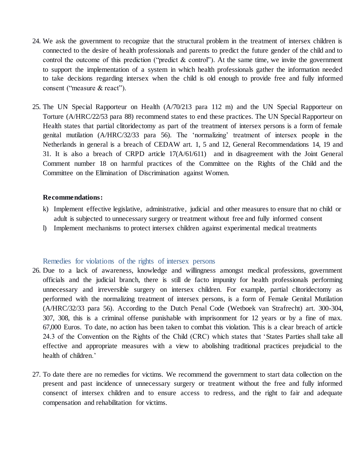- 24. We ask the government to recognize that the structural problem in the treatment of intersex children is connected to the desire of health professionals and parents to predict the future gender of the child and to control the outcome of this prediction ("predict  $\&$  control"). At the same time, we invite the government to support the implementation of a system in which health professionals gather the information needed to take decisions regarding intersex when the child is old enough to provide free and fully informed consent ("measure & react").
- 25. The UN Special Rapporteur on Health (A/70/213 para 112 m) and the UN Special Rapporteur on Torture (A/HRC/22/53 para 88) recommend states to end these practices. The UN Special Rapporteur on Health states that partial clitoridectomy as part of the treatment of intersex persons is a form of female genital mutilation (A/HRC/32/33 para 56). The 'normalizing' treatment of intersex people in the Netherlands in general is a breach of CEDAW art. 1, 5 and 12, General Recommendations 14, 19 and 31. It is also a breach of CRPD article  $17(A/61/611)$  and in disagreement with the Joint General Comment number 18 on harmful practices of the Committee on the Rights of the Child and the Committee on the Elimination of Discrimination against Women.

#### **Recommendations:**

- k) Implement effective legislative, administrative, judicial and other measures to ensure that no child or adult is subjected to unnecessary surgery or treatment without free and fully informed consent
- l) Implement mechanisms to protect intersex children against experimental medical treatments

#### Remedies for violations of the rights of intersex persons

- 26. Due to a lack of awareness, knowledge and willingness amongst medical professions, government officials and the judicial branch, there is still de facto impunity for health professionals performing unnecessary and irreversible surgery on intersex children. For example, partial clitoridectomy as performed with the normalizing treatment of intersex persons, is a form of Female Genital Mutilation (A/HRC/32/33 para 56). According to the Dutch Penal Code (Wetboek van Strafrecht) art. 300-304, 307, 308, this is a criminal offense punishable with imprisonment for 12 years or by a fine of max. 67,000 Euros. To date, no action has been taken to combat this violation. This is a clear breach of article 24.3 of the Convention on the Rights of the Child (CRC) which states that 'States Parties shall take all effective and appropriate measures with a view to abolishing traditional practices prejudicial to the health of children.'
- 27. To date there are no remedies for victims. We recommend the government to start data collection on the present and past incidence of unnecessary surgery or treatment without the free and fully informed consenct of intersex children and to ensure access to redress, and the right to fair and adequate compensation and rehabilitation for victims.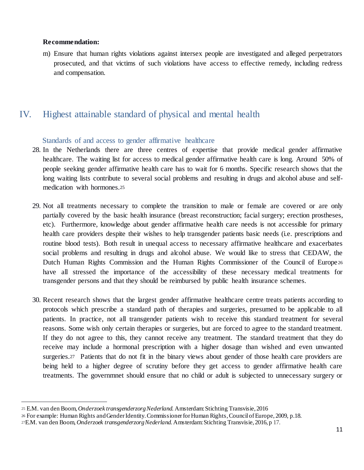#### **Recommendation:**

 $\overline{a}$ 

m) Ensure that human rights violations against intersex people are investigated and alleged perpetrators prosecuted, and that victims of such violations have access to effective remedy, including redress and compensation.

## IV. Highest attainable standard of physical and mental health

## Standards of and access to gender affirmative healthcare

- 28. In the Netherlands there are three centres of expertise that provide medical gender affirmative healthcare. The waiting list for access to medical gender affirmative health care is long. Around 50% of people seeking gender affirmative health care has to wait for 6 months. Specific research shows that the long waiting lists contribute to several social problems and resulting in drugs and alcohol abuse and selfmedication with hormones.<sup>25</sup>
- 29. Not all treatments necessary to complete the transition to male or female are covered or are only partially covered by the basic health insurance (breast reconstruction; facial surgery; erection prostheses, etc). Furthermore, knowledge about gender affirmative health care needs is not accessible for primary health care providers despite their wishes to help transgender patients basic needs (i.e. prescriptions and routine blood tests). Both result in unequal access to necessary affirmative healthcare and exacerbates social problems and resulting in drugs and alcohol abuse. We would like to stress that CEDAW, the Dutch Human Rights Commission and the Human Rights Commissioner of the Council of Europe <sup>26</sup> have all stressed the importance of the accessibility of these necessary medical treatments for transgender persons and that they should be reimbursed by public health insurance schemes.
- 30. Recent research shows that the largest gender affirmative healthcare centre treats patients according to protocols which prescribe a standard path of therapies and surgeries, presumed to be applicable to all patients. In practice, not all transgender patients wish to receive this standard treatment for several reasons. Some wish only certain therapies or surgeries, but are forced to agree to the standard treatment. If they do not agree to this, they cannot receive any treatment. The standard treatment that they do receive may include a hormonal prescription with a higher dosage than wished and even unwanted surgeries.<sup>27</sup> Patients that do not fit in the binary views about gender of those health care providers are being held to a higher degree of scrutiny before they get access to gender affirmative health care treatments. The governmnet should ensure that no child or adult is subjected to unnecessary surgery or

<sup>25</sup> E.M. van den Boom, *Onderzoek transgenderzorg Nederland.* Amsterdam: Stichting Transvisie, 2016

<sup>26</sup> For example: Human Rights and Gender Identity. Commissioner for Human Rights, Council of Europe, 2009, p.18.

<sup>27</sup>E.M. van den Boom, *Onderzoek transgenderzorg Nederland.* Amsterdam: Stichting Transvisie, 2016, p 17.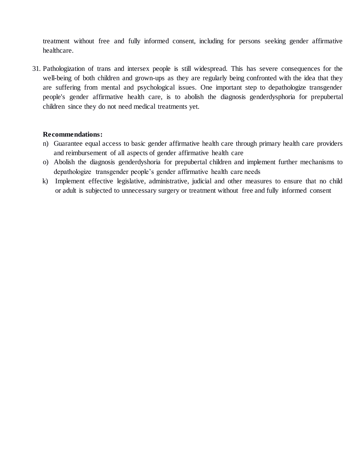treatment without free and fully informed consent, including for persons seeking gender affirmative healthcare.

31. Pathologization of trans and intersex people is still widespread. This has severe consequences for the well-being of both children and grown-ups as they are regularly being confronted with the idea that they are suffering from mental and psychological issues. One important step to depathologize transgender people's gender affirmative health care, is to abolish the diagnosis genderdysphoria for prepubertal children since they do not need medical treatments yet.

## **Recommendations:**

- n) Guarantee equal access to basic gender affirmative health care through primary health care providers and reimbursement of all aspects of gender affirmative health care
- o) Abolish the diagnosis genderdyshoria for prepubertal children and implement further mechanisms to depathologize transgender people's gender affirmative health care needs
- k) Implement effective legislative, administrative, judicial and other measures to ensure that no child or adult is subjected to unnecessary surgery or treatment without free and fully informed consent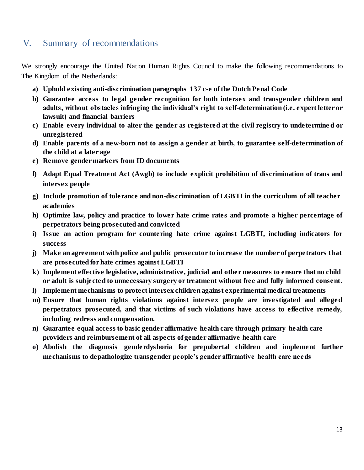## V. Summary of recommendations

We strongly encourage the United Nation Human Rights Council to make the following recommendations to The Kingdom of the Netherlands:

- **a) Uphold existing anti-discrimination paragraphs 137 c-e of the Dutch Penal Code**
- **b) Guarantee access to legal gender recognition for both intersex and transgender children and adults, without obstacles infringing the individual's right to self-determination (i.e. expert letter or lawsuit) and financial barriers**
- **c) Enable every individual to alter the gender as registered at the civil registry to undetermine d or unregistered**
- **d) Enable parents of a new-born not to assign a gender at birth, to guarantee self-determination of the child at a later age**
- **e) Remove gender markers from ID documents**
- **f) Adapt Equal Treatment Act (Awgb) to include explicit prohibition of discrimination of trans and intersex people**
- **g) Include promotion of tolerance and non-discrimination of LGBTI in the curriculum of all teacher academies**
- **h) Optimize law, policy and practice to lower hate crime rates and promote a higher percentage of perpetrators being prosecuted and convicted**
- **i) Issue an action program for countering hate crime against LGBTI, including indicators for success**
- **j) Make an agreement with police and public prosecutor to increase the number of perpetrators that are prosecuted for hate crimes against LGBTI**
- **k) Implement effective legislative, administrative, judicial and other measures to ensure that no child or adult is subjected to unnecessary surgery or treatment without free and fully informed consent.**
- **l) Implement mechanisms to protect intersex children against experimental medical treatments**
- **m) Ensure that human rights violations against intersex people are investigated and alleged perpetrators prosecuted, and that victims of such violations have access to effective remedy, including redress and compensation.**
- **n) Guarantee equal access to basic gender affirmative health care through primary health care providers and reimbursement of all aspects of gender affirmative health care**
- **o) Abolish the diagnosis genderdyshoria for prepubertal children and implement further mechanisms to depathologize transgender people's gender affirmative health care needs**